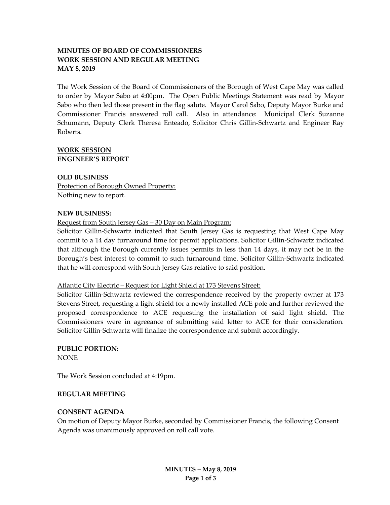# **MINUTES OF BOARD OF COMMISSIONERS WORK SESSION AND REGULAR MEETING MAY 8, 2019**

The Work Session of the Board of Commissioners of the Borough of West Cape May was called to order by Mayor Sabo at 4:00pm. The Open Public Meetings Statement was read by Mayor Sabo who then led those present in the flag salute. Mayor Carol Sabo, Deputy Mayor Burke and Commissioner Francis answered roll call. Also in attendance: Municipal Clerk Suzanne Schumann, Deputy Clerk Theresa Enteado, Solicitor Chris Gillin-Schwartz and Engineer Ray Roberts.

### **WORK SESSION ENGINEER'S REPORT**

**OLD BUSINESS** Protection of Borough Owned Property: Nothing new to report.

### **NEW BUSINESS:**

Request from South Jersey Gas - 30 Day on Main Program:

Solicitor Gillin-Schwartz indicated that South Jersey Gas is requesting that West Cape May commit to a 14 day turnaround time for permit applications. Solicitor Gillin-Schwartz indicated that although the Borough currently issues permits in less than 14 days, it may not be in the Borough's best interest to commit to such turnaround time. Solicitor Gillin-Schwartz indicated that he will correspond with South Jersey Gas relative to said position.

### Atlantic City Electric – Request for Light Shield at 173 Stevens Street:

Solicitor Gillin-Schwartz reviewed the correspondence received by the property owner at 173 Stevens Street, requesting a light shield for a newly installed ACE pole and further reviewed the proposed correspondence to ACE requesting the installation of said light shield. The Commissioners were in agreeance of submitting said letter to ACE for their consideration. Solicitor Gillin-Schwartz will finalize the correspondence and submit accordingly.

**PUBLIC PORTION:** NONE

The Work Session concluded at 4:19pm.

#### **REGULAR MEETING**

#### **CONSENT AGENDA**

On motion of Deputy Mayor Burke, seconded by Commissioner Francis, the following Consent Agenda was unanimously approved on roll call vote.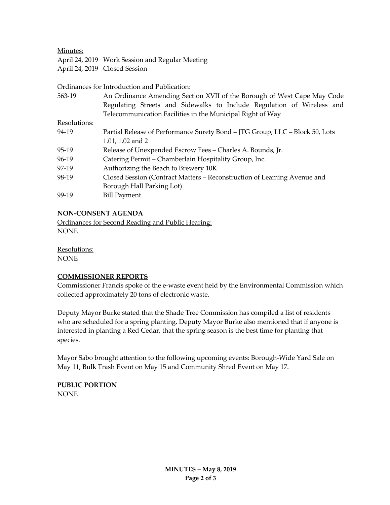Minutes:

April 24, 2019 Work Session and Regular Meeting April 24, 2019 Closed Session

Ordinances for Introduction and Publication:

| 563-19       | An Ordinance Amending Section XVII of the Borough of West Cape May Code      |
|--------------|------------------------------------------------------------------------------|
|              | Regulating Streets and Sidewalks to Include Regulation of Wireless and       |
|              | Telecommunication Facilities in the Municipal Right of Way                   |
| Resolutions: |                                                                              |
| 94-19        | Partial Release of Performance Surety Bond – JTG Group, LLC – Block 50, Lots |
|              | 1.01, 1.02 and 2                                                             |
| 95-19        | Release of Unexpended Escrow Fees – Charles A. Bounds, Jr.                   |
| 96-19        | Catering Permit – Chamberlain Hospitality Group, Inc.                        |
| 97-19        | Authorizing the Beach to Brewery 10K                                         |
| 98-19        | Closed Session (Contract Matters – Reconstruction of Leaming Avenue and      |
|              | Borough Hall Parking Lot)                                                    |
| 99-19        | <b>Bill Payment</b>                                                          |

# **NON-CONSENT AGENDA**

Ordinances for Second Reading and Public Hearing: **NONE** 

Resolutions: NONE

#### **COMMISSIONER REPORTS**

Commissioner Francis spoke of the e-waste event held by the Environmental Commission which collected approximately 20 tons of electronic waste.

Deputy Mayor Burke stated that the Shade Tree Commission has compiled a list of residents who are scheduled for a spring planting. Deputy Mayor Burke also mentioned that if anyone is interested in planting a Red Cedar, that the spring season is the best time for planting that species.

Mayor Sabo brought attention to the following upcoming events: Borough-Wide Yard Sale on May 11, Bulk Trash Event on May 15 and Community Shred Event on May 17.

**PUBLIC PORTION** NONE